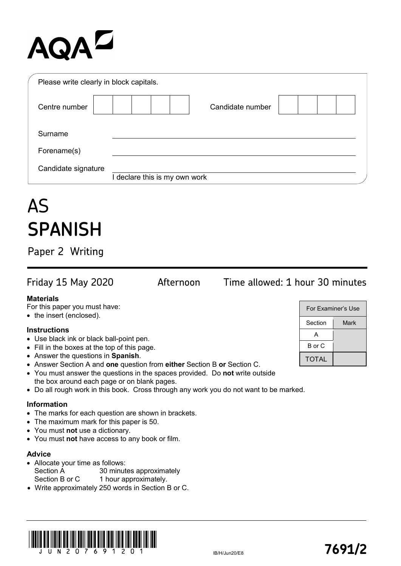# AQA<sup>Z</sup>

| Please write clearly in block capitals. |                             |  |
|-----------------------------------------|-----------------------------|--|
| Centre number                           | Candidate number            |  |
| Surname                                 |                             |  |
| Forename(s)                             |                             |  |
| Candidate signature                     | declare this is my own work |  |

## AS **SPANISH**

### Paper 2 Writing

Friday 15 May 2020 Afternoon Time allowed: 1 hour 30 minutes

For Examiner's Use

Section | Mark

A B or C TOTAL

#### **Materials**

For this paper you must have:

• the insert (enclosed).

#### **Instructions**

- Use black ink or black ball-point pen.
- Fill in the boxes at the top of this page.
- Answer the questions in **Spanish**.
- Answer Section A and **one** question from **either** Section B **or** Section C.
- You must answer the questions in the spaces provided. Do **not** write outside the box around each page or on blank pages.
- Do all rough work in this book. Cross through any work you do not want to be marked.

#### **Information**

- The marks for each question are shown in brackets.
- The maximum mark for this paper is 50.
- You must **not** use a dictionary.
- You must **not** have access to any book or film.

#### **Advice**

- Allocate your time as follows: Section A 30 minutes approximately Section B or C 1 hour approximately.
- Write approximately 250 words in Section B or C.

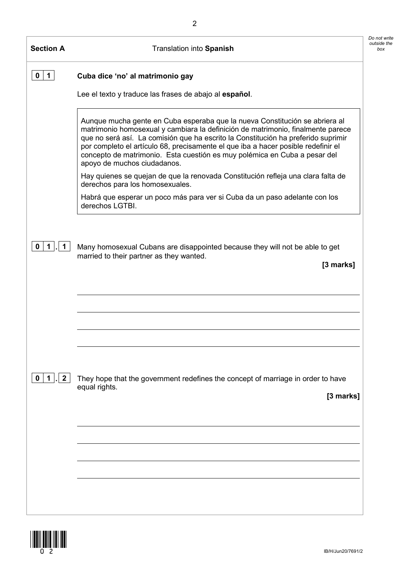| <b>Section A</b>                   | Translation into Spanish                                                                                                                                                                                                                                                                                                                                                                                                                             | Do not write<br>outside the |
|------------------------------------|------------------------------------------------------------------------------------------------------------------------------------------------------------------------------------------------------------------------------------------------------------------------------------------------------------------------------------------------------------------------------------------------------------------------------------------------------|-----------------------------|
| $\mathbf 1$<br>$\mathbf 0$         | Cuba dice 'no' al matrimonio gay                                                                                                                                                                                                                                                                                                                                                                                                                     |                             |
|                                    | Lee el texto y traduce las frases de abajo al español.                                                                                                                                                                                                                                                                                                                                                                                               |                             |
|                                    | Aunque mucha gente en Cuba esperaba que la nueva Constitución se abriera al<br>matrimonio homosexual y cambiara la definición de matrimonio, finalmente parece<br>que no será así. La comisión que ha escrito la Constitución ha preferido suprimir<br>por completo el artículo 68, precisamente el que iba a hacer posible redefinir el<br>concepto de matrimonio. Esta cuestión es muy polémica en Cuba a pesar del<br>apoyo de muchos ciudadanos. |                             |
|                                    | Hay quienes se quejan de que la renovada Constitución refleja una clara falta de<br>derechos para los homosexuales.                                                                                                                                                                                                                                                                                                                                  |                             |
|                                    | Habrá que esperar un poco más para ver si Cuba da un paso adelante con los<br>derechos LGTBI.                                                                                                                                                                                                                                                                                                                                                        |                             |
|                                    | Many homosexual Cubans are disappointed because they will not be able to get<br>married to their partner as they wanted.<br>[3 marks]                                                                                                                                                                                                                                                                                                                |                             |
|                                    |                                                                                                                                                                                                                                                                                                                                                                                                                                                      |                             |
| $\overline{2}$<br>$\mathbf 1$<br>0 | They hope that the government redefines the concept of marriage in order to have<br>equal rights.<br>[3 marks]                                                                                                                                                                                                                                                                                                                                       |                             |
|                                    |                                                                                                                                                                                                                                                                                                                                                                                                                                                      |                             |
|                                    |                                                                                                                                                                                                                                                                                                                                                                                                                                                      |                             |
|                                    |                                                                                                                                                                                                                                                                                                                                                                                                                                                      |                             |
|                                    |                                                                                                                                                                                                                                                                                                                                                                                                                                                      |                             |

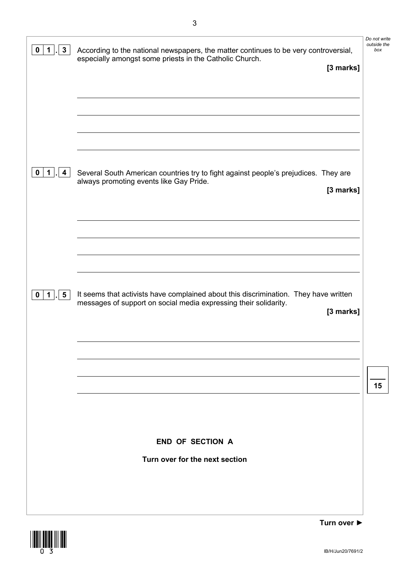**0 1 . 3** According to the national newspapers, the matter continues to be very controversial, especially amongst some priests in the Catholic Church.

| outside the |
|-------------|
| box         |
|             |

*Do not write* 

**[3 marks]**

| 0<br>4 | Several South American countries try to fight against people's prejudices. They are<br>always promoting events like Gay Pride. | [3 marks] |
|--------|--------------------------------------------------------------------------------------------------------------------------------|-----------|
|        |                                                                                                                                |           |

**0 1 . 5** It seems that activists have complained about this discrimination. They have written messages of support on social media expressing their solidarity.

**[3 marks]**

**15**

**END OF SECTION A**

**Turn over for the next section**

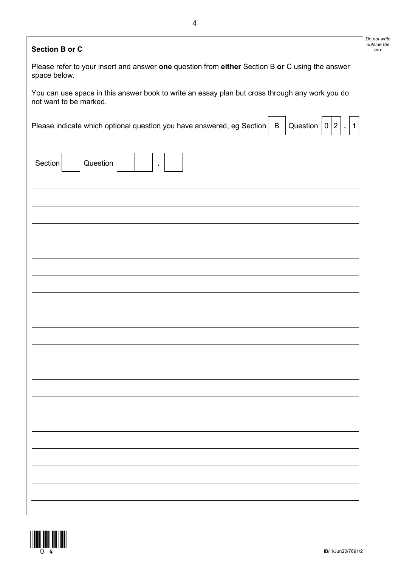| <b>Section B or C</b>                                                                                                           | Do not write<br>outside the<br>box |
|---------------------------------------------------------------------------------------------------------------------------------|------------------------------------|
| Please refer to your insert and answer one question from either Section B or C using the answer<br>space below.                 |                                    |
| You can use space in this answer book to write an essay plan but cross through any work you do<br>not want to be marked.        |                                    |
| Question $ 0 $<br>Please indicate which optional question you have answered, eg Section $ B $<br>$\overline{2}$<br>$\mathbf{1}$ |                                    |
| Question<br>Section<br>$\blacksquare$                                                                                           |                                    |
|                                                                                                                                 |                                    |
|                                                                                                                                 |                                    |
|                                                                                                                                 |                                    |
|                                                                                                                                 |                                    |
|                                                                                                                                 |                                    |
|                                                                                                                                 |                                    |
|                                                                                                                                 |                                    |
|                                                                                                                                 |                                    |
|                                                                                                                                 |                                    |
|                                                                                                                                 |                                    |
|                                                                                                                                 |                                    |

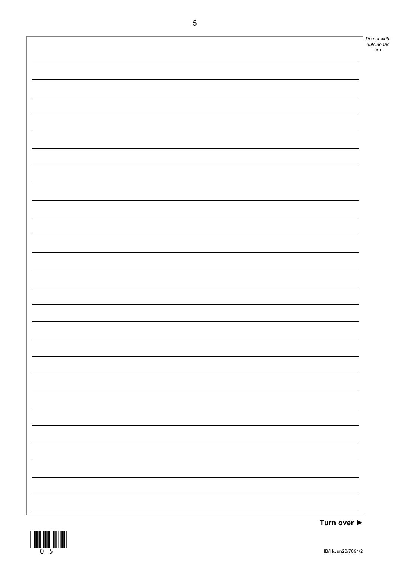| D              |
|----------------|
| $\overline{O}$ |
|                |
|                |
|                |
|                |
|                |
|                |
|                |
|                |
|                |
|                |
|                |
|                |
|                |
|                |
|                |
|                |
|                |
|                |
|                |
|                |
|                |
|                |
|                |
|                |
|                |
|                |
|                |
|                |
|                |
|                |
|                |
|                |
|                |
|                |
|                |
|                |
|                |
|                |
|                |
|                |
|                |
|                |
|                |
|                |
|                |
|                |
|                |
|                |
|                |
|                |
|                |
|                |
|                |
|                |
|                |
|                |
|                |
|                |
|                |
|                |
|                |

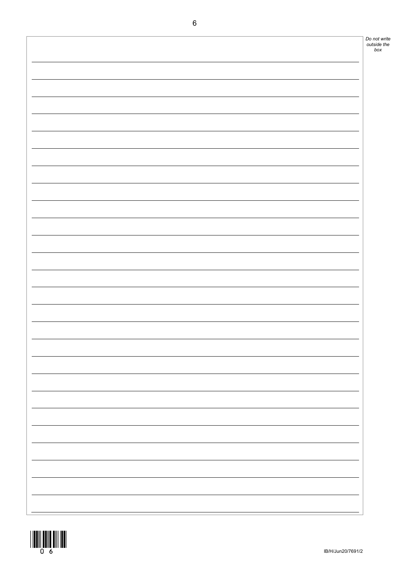| Do not write<br>outside the |
|-----------------------------|
| box                         |
|                             |
|                             |
|                             |
|                             |
|                             |
|                             |
|                             |
|                             |
|                             |
|                             |
|                             |
|                             |
|                             |
|                             |
|                             |
|                             |
|                             |
|                             |
|                             |
|                             |
|                             |
|                             |
|                             |
|                             |
|                             |
|                             |
|                             |
|                             |
|                             |
|                             |
|                             |
|                             |
|                             |
|                             |
|                             |
|                             |
|                             |
|                             |
|                             |
|                             |
|                             |
|                             |
|                             |
|                             |

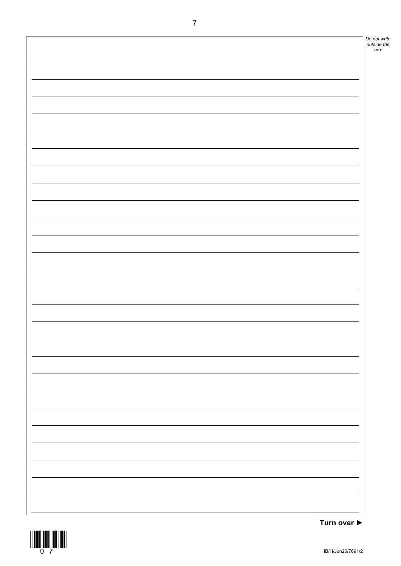| Do not write<br>outside the |
|-----------------------------|
| box                         |
|                             |
|                             |
|                             |
|                             |
|                             |
|                             |
|                             |
|                             |
|                             |
|                             |
|                             |
|                             |
|                             |
|                             |
|                             |
|                             |
|                             |
|                             |
|                             |
|                             |
|                             |
|                             |

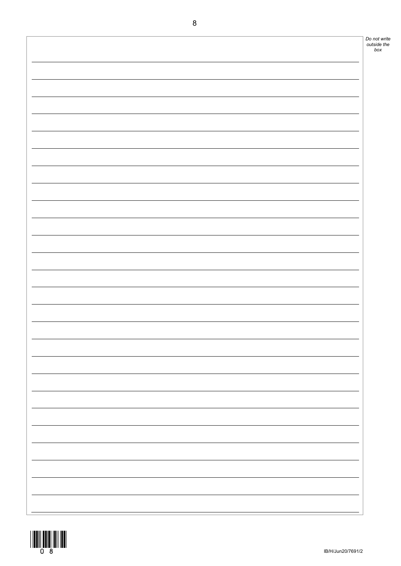

 $\mathbb{R}^2$ 

o not write<br>utside the<br>box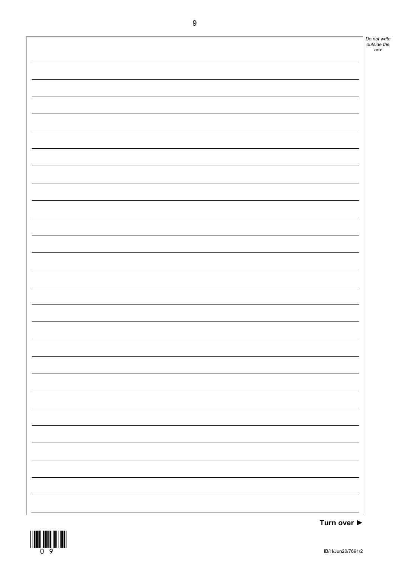| Do not write<br>outside the<br>box |
|------------------------------------|
|                                    |
|                                    |
|                                    |
|                                    |
|                                    |
|                                    |
|                                    |
|                                    |
|                                    |
|                                    |
|                                    |
|                                    |
|                                    |
|                                    |
|                                    |
|                                    |
|                                    |
|                                    |
|                                    |
|                                    |

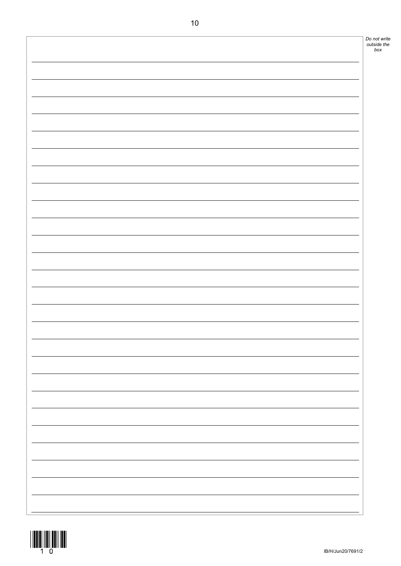

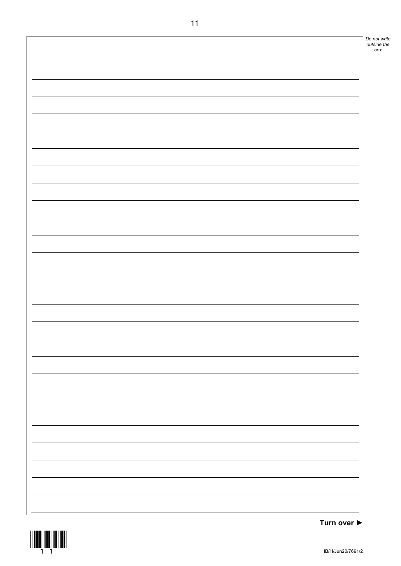| . . |                    |
|-----|--------------------|
|     | Do not write       |
|     | outside the<br>box |
|     |                    |
|     |                    |
|     |                    |
|     |                    |
|     |                    |
|     |                    |
|     |                    |
|     |                    |
|     |                    |
|     |                    |
|     |                    |
|     |                    |
|     |                    |
|     |                    |
|     |                    |
|     |                    |
|     |                    |
|     |                    |
|     |                    |
|     |                    |
|     |                    |
|     |                    |
|     |                    |
|     |                    |
|     |                    |
|     |                    |
|     |                    |
|     |                    |
|     |                    |
|     |                    |
|     |                    |
|     |                    |
|     |                    |
|     |                    |
|     |                    |
|     |                    |
|     |                    |
|     |                    |
|     |                    |
|     |                    |
|     |                    |
|     |                    |
|     |                    |
|     |                    |
|     |                    |
|     |                    |
|     |                    |
|     |                    |
|     |                    |
|     |                    |
|     |                    |
|     |                    |
|     |                    |
|     |                    |
|     |                    |
|     |                    |